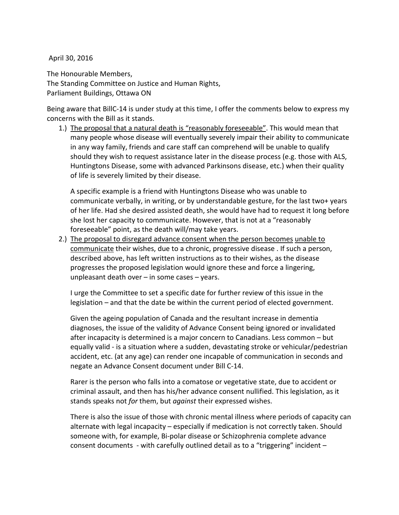April 30, 2016

The Honourable Members, The Standing Committee on Justice and Human Rights, Parliament Buildings, Ottawa ON

Being aware that BillC-14 is under study at this time, I offer the comments below to express my concerns with the Bill as it stands.

1.) The proposal that a natural death is "reasonably foreseeable". This would mean that many people whose disease will eventually severely impair their ability to communicate in any way family, friends and care staff can comprehend will be unable to qualify should they wish to request assistance later in the disease process (e.g. those with ALS, Huntingtons Disease, some with advanced Parkinsons disease, etc.) when their quality of life is severely limited by their disease.

A specific example is a friend with Huntingtons Disease who was unable to communicate verbally, in writing, or by understandable gesture, for the last two+ years of her life. Had she desired assisted death, she would have had to request it long before she lost her capacity to communicate. However, that is not at a "reasonably foreseeable" point, as the death will/may take years.

2.) The proposal to disregard advance consent when the person becomes unable to communicate their wishes, due to a chronic, progressive disease . If such a person, described above, has left written instructions as to their wishes, as the disease progresses the proposed legislation would ignore these and force a lingering, unpleasant death over  $-$  in some cases  $-$  years.

I urge the Committee to set a specific date for further review of this issue in the legislation – and that the date be within the current period of elected government.

Given the ageing population of Canada and the resultant increase in dementia diagnoses, the issue of the validity of Advance Consent being ignored or invalidated after incapacity is determined is a major concern to Canadians. Less common – but equally valid - is a situation where a sudden, devastating stroke or vehicular/pedestrian accident, etc. (at any age) can render one incapable of communication in seconds and negate an Advance Consent document under Bill C-14.

Rarer is the person who falls into a comatose or vegetative state, due to accident or criminal assault, and then has his/her advance consent nullified. This legislation, as it stands speaks not *for* them, but *against* their expressed wishes.

There is also the issue of those with chronic mental illness where periods of capacity can alternate with legal incapacity – especially if medication is not correctly taken. Should someone with, for example, Bi-polar disease or Schizophrenia complete advance consent documents - with carefully outlined detail as to a "triggering" incident –